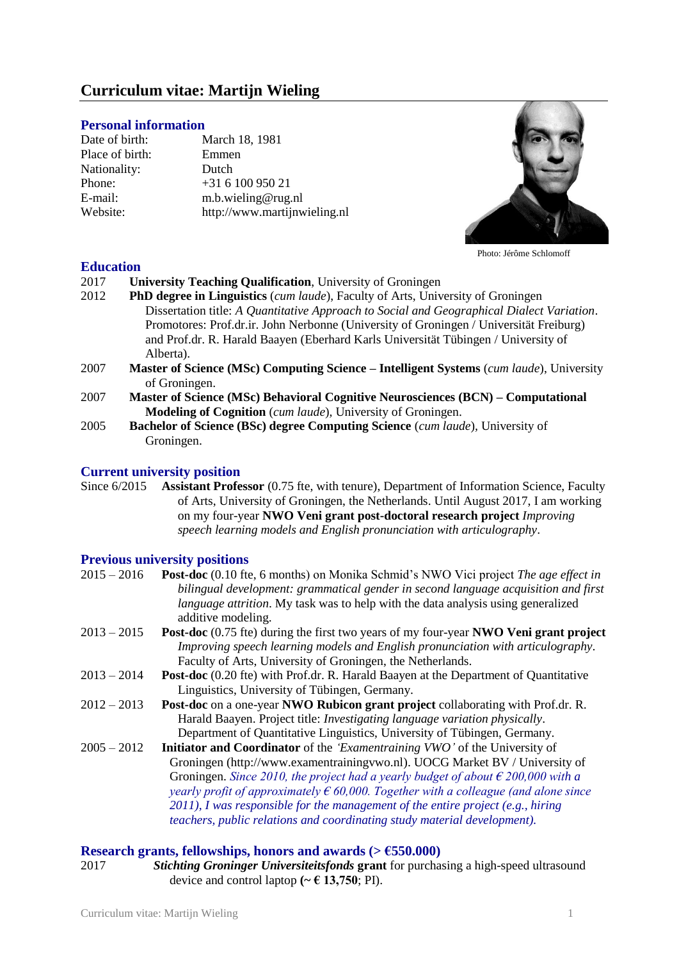# **Curriculum vitae: Martijn Wieling**

#### **Personal information**

Date of birth: March 18, 1981 Place of birth: Emmen<br>Nationality: Dutch Nationality: Phone:  $+31610095021$ E-mail: [m.b.wieling@rug.nl](mailto:m.b.wieling@rug.nl) Website: [http://www.martijnwieling.nl](http://www.martijnwieling.nl/)



Photo: Jérôme Schlomoff

#### **Education**

- 2017 **University Teaching Qualification**, University of Groningen
- 2012 **PhD degree in Linguistics** (*cum laude*), Faculty of Arts, University of Groningen Dissertation title: *A Quantitative Approach to Social and Geographical Dialect Variation*. Promotores: Prof.dr.ir. John Nerbonne (University of Groningen / Universität Freiburg) and Prof.dr. R. Harald Baayen (Eberhard Karls Universität Tübingen / University of Alberta).
- 2007 **Master of Science (MSc) Computing Science – Intelligent Systems** (*cum laude*), University of Groningen.
- 2007 **Master of Science (MSc) Behavioral Cognitive Neurosciences (BCN) – Computational Modeling of Cognition** (*cum laude*)*,* University of Groningen.
- 2005 **Bachelor of Science (BSc) degree Computing Science** (*cum laude*)*,* University of Groningen.

# **Current university position**

Since 6/2015 **Assistant Professor** (0.75 fte, with tenure), Department of Information Science, Faculty of Arts, University of Groningen, the Netherlands. Until August 2017, I am working on my four-year **NWO Veni grant post-doctoral research project** *Improving speech learning models and English pronunciation with articulography*.

#### **Previous university positions**

| $2015 - 2016$ | <b>Post-doc</b> (0.10 fte, 6 months) on Monika Schmid's NWO Vici project The age effect in<br>bilingual development: grammatical gender in second language acquisition and first<br><i>language attrition</i> . My task was to help with the data analysis using generalized<br>additive modeling. |
|---------------|----------------------------------------------------------------------------------------------------------------------------------------------------------------------------------------------------------------------------------------------------------------------------------------------------|
| $2013 - 2015$ | <b>Post-doc</b> (0.75 fte) during the first two years of my four-year <b>NWO Veni grant project</b>                                                                                                                                                                                                |
|               | Improving speech learning models and English pronunciation with articulography.                                                                                                                                                                                                                    |
|               | Faculty of Arts, University of Groningen, the Netherlands.                                                                                                                                                                                                                                         |
| $2013 - 2014$ | <b>Post-doc</b> (0.20 fte) with Prof.dr. R. Harald Baayen at the Department of Quantitative                                                                                                                                                                                                        |
|               | Linguistics, University of Tübingen, Germany.                                                                                                                                                                                                                                                      |
| $2012 - 2013$ | <b>Post-doc</b> on a one-year <b>NWO Rubicon grant project</b> collaborating with Prof.dr. R.                                                                                                                                                                                                      |
|               | Harald Baayen. Project title: <i>Investigating language variation physically</i> .                                                                                                                                                                                                                 |
|               | Department of Quantitative Linguistics, University of Tübingen, Germany.                                                                                                                                                                                                                           |
| $2005 - 2012$ | <b>Initiator and Coordinator</b> of the 'Examentraining VWO' of the University of                                                                                                                                                                                                                  |
|               | Groningen (http://www.examentrainingywo.nl). UOCG Market BV / University of                                                                                                                                                                                                                        |
|               | Groningen. Since 2010, the project had a yearly budget of about $\epsilon$ 200,000 with a                                                                                                                                                                                                          |
|               | yearly profit of approximately $\epsilon$ 60,000. Together with a colleague (and alone since                                                                                                                                                                                                       |
|               | $2011$ ), I was responsible for the management of the entire project (e.g., hiring                                                                                                                                                                                                                 |
|               | teachers, public relations and coordinating study material development).                                                                                                                                                                                                                           |
|               |                                                                                                                                                                                                                                                                                                    |

#### **Research grants, fellowships, honors and awards (** $> \text{\textsterling}550.000$ **)**

2017 *Stichting Groninger Universiteitsfonds* **grant** for purchasing a high-speed ultrasound device and control laptop  $({\sim} \in 13,750;$  PI).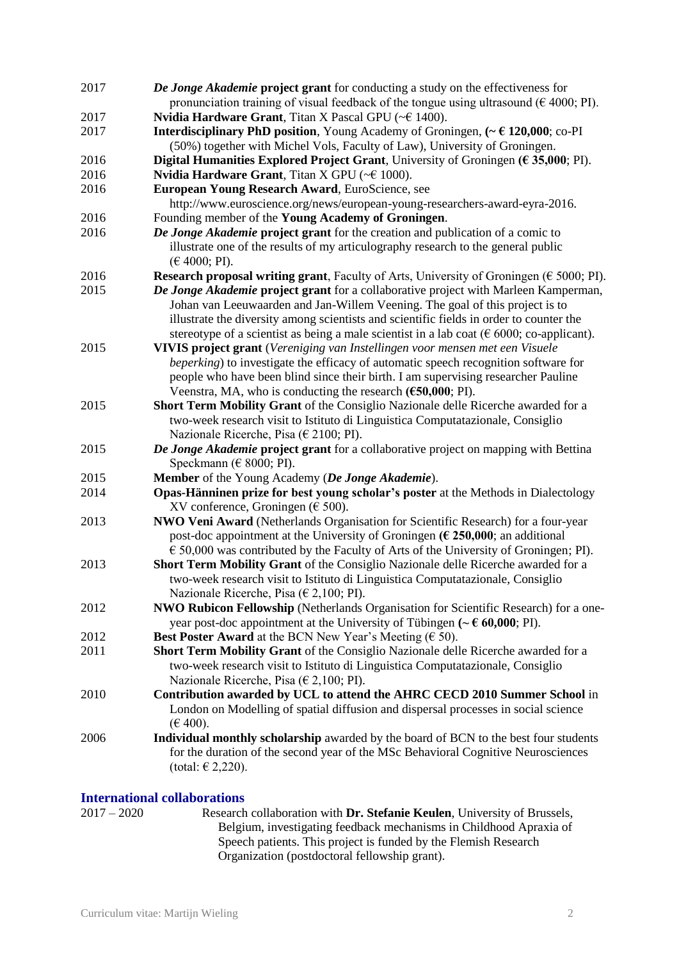| 2017 | De Jonge Akademie project grant for conducting a study on the effectiveness for                                         |
|------|-------------------------------------------------------------------------------------------------------------------------|
|      | pronunciation training of visual feedback of the tongue using ultrasound ( $\epsilon$ 4000; PI).                        |
| 2017 | Nvidia Hardware Grant, Titan X Pascal GPU (~€ 1400).                                                                    |
| 2017 | <b>Interdisciplinary PhD position</b> , Young Academy of Groningen, $\left(\sim \epsilon\right)$ <b>120,000</b> ; co-PI |
|      | (50%) together with Michel Vols, Faculty of Law), University of Groningen.                                              |
| 2016 | Digital Humanities Explored Project Grant, University of Groningen ( $\epsilon$ 35,000; PI).                            |
| 2016 | <b>Nvidia Hardware Grant</b> , Titan X GPU ( $\leq 1000$ ).                                                             |
| 2016 | European Young Research Award, EuroScience, see                                                                         |
|      | http://www.euroscience.org/news/european-young-researchers-award-eyra-2016.                                             |
| 2016 | Founding member of the Young Academy of Groningen.                                                                      |
| 2016 | De Jonge Akademie project grant for the creation and publication of a comic to                                          |
|      | illustrate one of the results of my articulography research to the general public                                       |
|      | (E 4000; PI).                                                                                                           |
| 2016 | Research proposal writing grant, Faculty of Arts, University of Groningen ( $\epsilon$ 5000; PI).                       |
| 2015 | De Jonge Akademie project grant for a collaborative project with Marleen Kamperman,                                     |
|      | Johan van Leeuwaarden and Jan-Willem Veening. The goal of this project is to                                            |
|      |                                                                                                                         |
|      | illustrate the diversity among scientists and scientific fields in order to counter the                                 |
| 2015 | stereotype of a scientist as being a male scientist in a lab coat ( $\epsilon$ 6000; co-applicant).                     |
|      | VIVIS project grant (Vereniging van Instellingen voor mensen met een Visuele                                            |
|      | beperking) to investigate the efficacy of automatic speech recognition software for                                     |
|      | people who have been blind since their birth. I am supervising researcher Pauline                                       |
|      | Veenstra, MA, who is conducting the research (€50,000; PI).                                                             |
| 2015 | <b>Short Term Mobility Grant</b> of the Consiglio Nazionale delle Ricerche awarded for a                                |
|      | two-week research visit to Istituto di Linguistica Computatazionale, Consiglio                                          |
|      | Nazionale Ricerche, Pisa ( $\in$ 2100; PI).                                                                             |
| 2015 | De Jonge Akademie project grant for a collaborative project on mapping with Bettina                                     |
|      | Speckmann ( $\in$ 8000; PI).                                                                                            |
| 2015 | Member of the Young Academy (De Jonge Akademie).                                                                        |
| 2014 | Opas-Hänninen prize for best young scholar's poster at the Methods in Dialectology                                      |
|      | XV conference, Groningen ( $\epsilon$ 500).                                                                             |
| 2013 | NWO Veni Award (Netherlands Organisation for Scientific Research) for a four-year                                       |
|      | post-doc appointment at the University of Groningen ( $\epsilon$ 250,000; an additional                                 |
|      | $\epsilon$ 50,000 was contributed by the Faculty of Arts of the University of Groningen; PI).                           |
| 2013 | <b>Short Term Mobility Grant</b> of the Consiglio Nazionale delle Ricerche awarded for a                                |
|      | two-week research visit to Istituto di Linguistica Computatazionale, Consiglio                                          |
|      | Nazionale Ricerche, Pisa ( $\in$ 2,100; PI).                                                                            |
| 2012 | NWO Rubicon Fellowship (Netherlands Organisation for Scientific Research) for a one-                                    |
|      | year post-doc appointment at the University of Tübingen ( $\sim \epsilon$ 60,000; PI).                                  |
| 2012 | <b>Best Poster Award</b> at the BCN New Year's Meeting ( $\in$ 50).                                                     |
| 2011 | Short Term Mobility Grant of the Consiglio Nazionale delle Ricerche awarded for a                                       |
|      | two-week research visit to Istituto di Linguistica Computatazionale, Consiglio                                          |
|      | Nazionale Ricerche, Pisa ( $\in$ 2,100; PI).                                                                            |
| 2010 | Contribution awarded by UCL to attend the AHRC CECD 2010 Summer School in                                               |
|      | London on Modelling of spatial diffusion and dispersal processes in social science                                      |
|      | $(E 400)$ .                                                                                                             |
| 2006 | Individual monthly scholarship awarded by the board of BCN to the best four students                                    |
|      | for the duration of the second year of the MSc Behavioral Cognitive Neurosciences                                       |
|      | (total: $\in$ 2,220).                                                                                                   |
|      |                                                                                                                         |

# **International collaborations**<br>2017 – 2020 Research

2017 – 2020 Research collaboration with **Dr. Stefanie Keulen**, University of Brussels, Belgium, investigating feedback mechanisms in Childhood Apraxia of Speech patients. This project is funded by the Flemish Research Organization (postdoctoral fellowship grant).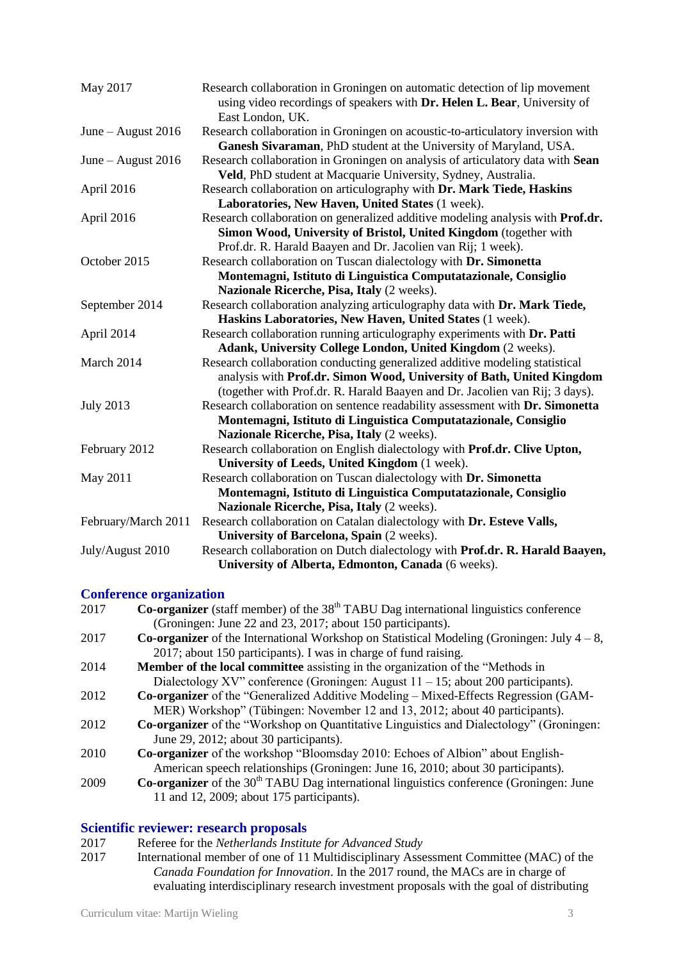| May 2017                                                        | Research collaboration in Groningen on automatic detection of lip movement<br>using video recordings of speakers with Dr. Helen L. Bear, University of<br>East London, UK. |  |
|-----------------------------------------------------------------|----------------------------------------------------------------------------------------------------------------------------------------------------------------------------|--|
| June – August 2016                                              | Research collaboration in Groningen on acoustic-to-articulatory inversion with<br>Ganesh Sivaraman, PhD student at the University of Maryland, USA.                        |  |
| June - August 2016                                              | Research collaboration in Groningen on analysis of articulatory data with Sean<br>Veld, PhD student at Macquarie University, Sydney, Australia.                            |  |
| April 2016                                                      | Research collaboration on articulography with Dr. Mark Tiede, Haskins<br>Laboratories, New Haven, United States (1 week).                                                  |  |
| April 2016                                                      | Research collaboration on generalized additive modeling analysis with Prof.dr.                                                                                             |  |
|                                                                 | Simon Wood, University of Bristol, United Kingdom (together with                                                                                                           |  |
|                                                                 | Prof.dr. R. Harald Baayen and Dr. Jacolien van Rij; 1 week).                                                                                                               |  |
| October 2015                                                    | Research collaboration on Tuscan dialectology with Dr. Simonetta                                                                                                           |  |
| Montemagni, Istituto di Linguistica Computatazionale, Consiglio |                                                                                                                                                                            |  |
|                                                                 | Nazionale Ricerche, Pisa, Italy (2 weeks).                                                                                                                                 |  |
| September 2014                                                  | Research collaboration analyzing articulography data with Dr. Mark Tiede,                                                                                                  |  |
|                                                                 | Haskins Laboratories, New Haven, United States (1 week).                                                                                                                   |  |
| April 2014                                                      | Research collaboration running articulography experiments with Dr. Patti                                                                                                   |  |
|                                                                 | Adank, University College London, United Kingdom (2 weeks).                                                                                                                |  |
| March 2014                                                      | Research collaboration conducting generalized additive modeling statistical                                                                                                |  |
|                                                                 | analysis with Prof.dr. Simon Wood, University of Bath, United Kingdom                                                                                                      |  |
|                                                                 | (together with Prof.dr. R. Harald Baayen and Dr. Jacolien van Rij; 3 days).                                                                                                |  |
| <b>July 2013</b>                                                | Research collaboration on sentence readability assessment with Dr. Simonetta                                                                                               |  |
|                                                                 | Montemagni, Istituto di Linguistica Computatazionale, Consiglio                                                                                                            |  |
|                                                                 | Nazionale Ricerche, Pisa, Italy (2 weeks).                                                                                                                                 |  |
| February 2012                                                   | Research collaboration on English dialectology with Prof.dr. Clive Upton,                                                                                                  |  |
|                                                                 | University of Leeds, United Kingdom (1 week).                                                                                                                              |  |
| May 2011                                                        | Research collaboration on Tuscan dialectology with Dr. Simonetta                                                                                                           |  |
|                                                                 | Montemagni, Istituto di Linguistica Computatazionale, Consiglio                                                                                                            |  |
|                                                                 | Nazionale Ricerche, Pisa, Italy (2 weeks).                                                                                                                                 |  |
| February/March 2011                                             | Research collaboration on Catalan dialectology with Dr. Esteve Valls,                                                                                                      |  |
|                                                                 | University of Barcelona, Spain (2 weeks).                                                                                                                                  |  |
| July/August 2010                                                | Research collaboration on Dutch dialectology with Prof.dr. R. Harald Baayen,                                                                                               |  |
|                                                                 | University of Alberta, Edmonton, Canada (6 weeks).                                                                                                                         |  |

## **Conference organization**

| 2017 | <b>Co-organizer</b> (staff member) of the $38th$ TABU Dag international linguistics conference             |
|------|------------------------------------------------------------------------------------------------------------|
|      | (Groningen: June 22 and 23, 2017; about 150 participants).                                                 |
| 2017 | <b>Co-organizer</b> of the International Workshop on Statistical Modeling (Groningen: July $4-8$ ,         |
|      | 2017; about 150 participants). I was in charge of fund raising.                                            |
| 2014 | Member of the local committee assisting in the organization of the "Methods in                             |
|      | Dialectology XV" conference (Groningen: August $11 - 15$ ; about 200 participants).                        |
| 2012 | <b>Co-organizer</b> of the "Generalized Additive Modeling – Mixed-Effects Regression (GAM-                 |
|      | MER) Workshop" (Tübingen: November 12 and 13, 2012; about 40 participants).                                |
| 2012 | <b>Co-organizer</b> of the "Workshop on Quantitative Linguistics and Dialectology" (Groningen:             |
|      | June 29, 2012; about 30 participants).                                                                     |
| 2010 | <b>Co-organizer</b> of the workshop "Bloomsday 2010: Echoes of Albion" about English-                      |
|      | American speech relationships (Groningen: June 16, 2010; about 30 participants).                           |
| 2009 | <b>Co-organizer</b> of the 30 <sup>th</sup> TABU Dag international linguistics conference (Groningen: June |
|      | 11 and 12, 2009; about 175 participants).                                                                  |
|      |                                                                                                            |

#### **Scientific reviewer: research proposals**

- 2017 Referee for the *Netherlands Institute for Advanced Study*<br>2017 International member of one of 11 Multidisciplinary Asse
- International member of one of 11 Multidisciplinary Assessment Committee (MAC) of the *Canada Foundation for Innovation*. In the 2017 round, the MACs are in charge of evaluating interdisciplinary research investment proposals with the goal of distributing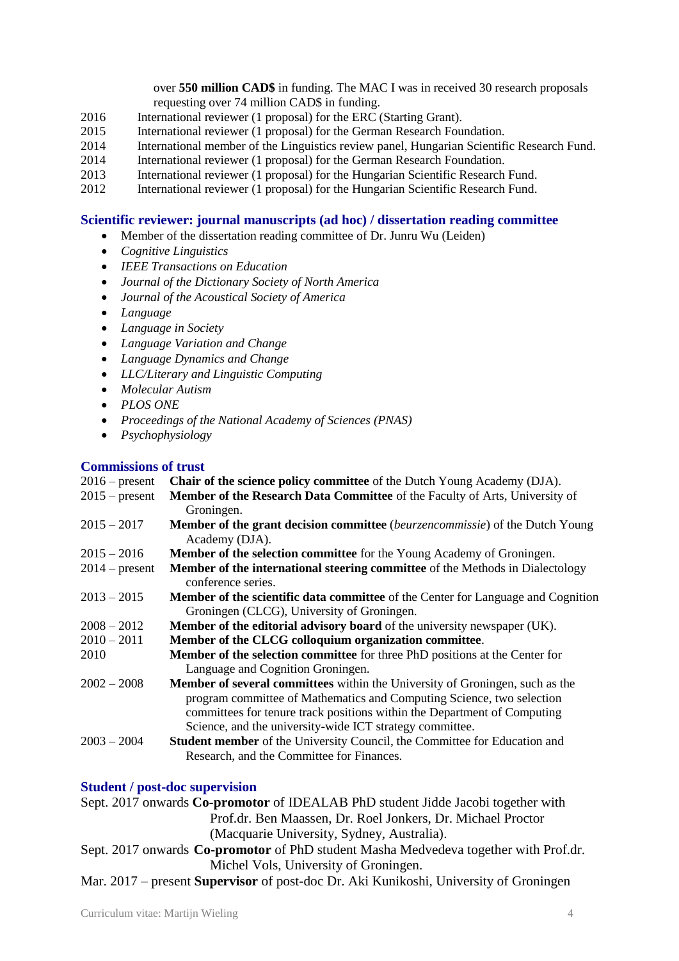over **550 million CAD\$** in funding. The MAC I was in received 30 research proposals requesting over 74 million CAD\$ in funding.

- 2016 International reviewer (1 proposal) for the ERC (Starting Grant).
- 2015 International reviewer (1 proposal) for the German Research Foundation.
- 2014 International member of the Linguistics review panel, Hungarian Scientific Research Fund.
- 2014 International reviewer (1 proposal) for the German Research Foundation.
- 2013 International reviewer (1 proposal) for the Hungarian Scientific Research Fund.
- 2012 International reviewer (1 proposal) for the Hungarian Scientific Research Fund.

#### **Scientific reviewer: journal manuscripts (ad hoc) / dissertation reading committee**

- Member of the dissertation reading committee of Dr. Junru Wu (Leiden)
- *Cognitive Linguistics*
- *IEEE Transactions on Education*
- *Journal of the Dictionary Society of North America*
- *Journal of the Acoustical Society of America*
- *Language*
- *Language in Society*
- *Language Variation and Change*
- *Language Dynamics and Change*
- *LLC/Literary and Linguistic Computing*
- *Molecular Autism*
- *PLOS ONE*
- *Proceedings of the National Academy of Sciences (PNAS)*
- *Psychophysiology*

#### **Commissions of trust**

| Commissions of a use |                                                                                            |
|----------------------|--------------------------------------------------------------------------------------------|
| $2016$ – present     | <b>Chair of the science policy committee</b> of the Dutch Young Academy (DJA).             |
| $2015$ – present     | Member of the Research Data Committee of the Faculty of Arts, University of                |
|                      | Groningen.                                                                                 |
| $2015 - 2017$        | <b>Member of the grant decision committee</b> <i>(beurzencommissie)</i> of the Dutch Young |
|                      | Academy (DJA).                                                                             |
| $2015 - 2016$        | Member of the selection committee for the Young Academy of Groningen.                      |
| $2014$ – present     | <b>Member of the international steering committee</b> of the Methods in Dialectology       |
|                      | conference series.                                                                         |
| $2013 - 2015$        | <b>Member of the scientific data committee</b> of the Center for Language and Cognition    |
|                      | Groningen (CLCG), University of Groningen.                                                 |
| $2008 - 2012$        | <b>Member of the editorial advisory board</b> of the university newspaper (UK).            |
| $2010 - 2011$        | Member of the CLCG colloquium organization committee.                                      |
| 2010                 | Member of the selection committee for three PhD positions at the Center for                |
|                      | Language and Cognition Groningen.                                                          |
| $2002 - 2008$        | Member of several committees within the University of Groningen, such as the               |
|                      | program committee of Mathematics and Computing Science, two selection                      |
|                      | committees for tenure track positions within the Department of Computing                   |
|                      | Science, and the university-wide ICT strategy committee.                                   |
| $2003 - 2004$        | Student member of the University Council, the Committee for Education and                  |
|                      | Research, and the Committee for Finances.                                                  |
|                      |                                                                                            |

#### **Student / post-doc supervision**

Sept. 2017 onwards **Co-promotor** of IDEALAB PhD student Jidde Jacobi together with Prof.dr. Ben Maassen, Dr. Roel Jonkers, Dr. Michael Proctor (Macquarie University, Sydney, Australia).

- Sept. 2017 onwards **Co-promotor** of PhD student Masha Medvedeva together with Prof.dr. Michel Vols, University of Groningen.
- Mar. 2017 present **Supervisor** of post-doc Dr. Aki Kunikoshi, University of Groningen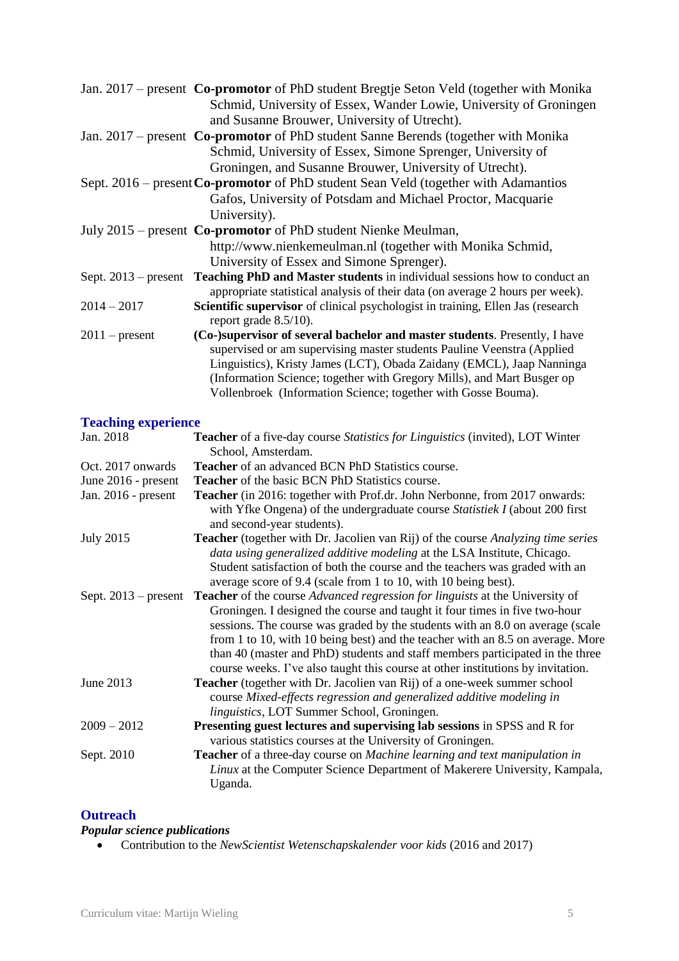|                  | Jan. 2017 – present Co-promotor of PhD student Bregtje Seton Veld (together with Monika               |
|------------------|-------------------------------------------------------------------------------------------------------|
|                  | Schmid, University of Essex, Wander Lowie, University of Groningen                                    |
|                  | and Susanne Brouwer, University of Utrecht).                                                          |
|                  | Jan. 2017 – present Co-promotor of PhD student Sanne Berends (together with Monika                    |
|                  | Schmid, University of Essex, Simone Sprenger, University of                                           |
|                  | Groningen, and Susanne Brouwer, University of Utrecht).                                               |
|                  | Sept. 2016 – present Co-promotor of PhD student Sean Veld (together with Adamantios                   |
|                  | Gafos, University of Potsdam and Michael Proctor, Macquarie                                           |
|                  | University).                                                                                          |
|                  | July 2015 – present Co-promotor of PhD student Nienke Meulman,                                        |
|                  | http://www.nienkemeulman.nl (together with Monika Schmid,                                             |
|                  | University of Essex and Simone Sprenger).                                                             |
|                  | Sept. 2013 – present <b>Teaching PhD and Master students</b> in individual sessions how to conduct an |
|                  | appropriate statistical analysis of their data (on average 2 hours per week).                         |
| $2014 - 2017$    | Scientific supervisor of clinical psychologist in training, Ellen Jas (research                       |
|                  | report grade $8.5/10$ ).                                                                              |
| $2011$ – present | (Co-)supervisor of several bachelor and master students. Presently, I have                            |
|                  | supervised or am supervising master students Pauline Veenstra (Applied                                |
|                  | Linguistics), Kristy James (LCT), Obada Zaidany (EMCL), Jaap Nanninga                                 |
|                  | (Information Science; together with Gregory Mills), and Mart Busger op                                |
|                  | Vollenbroek (Information Science; together with Gosse Bouma).                                         |

# **Teaching experience**

| Jan. 2018           | Teacher of a five-day course Statistics for Linguistics (invited), LOT Winter<br>School, Amsterdam.                                                                                                                                                                                                                                                                                                                                                                                                                                  |
|---------------------|--------------------------------------------------------------------------------------------------------------------------------------------------------------------------------------------------------------------------------------------------------------------------------------------------------------------------------------------------------------------------------------------------------------------------------------------------------------------------------------------------------------------------------------|
| Oct. 2017 onwards   | <b>Teacher</b> of an advanced BCN PhD Statistics course.                                                                                                                                                                                                                                                                                                                                                                                                                                                                             |
| June 2016 - present | <b>Teacher</b> of the basic BCN PhD Statistics course.                                                                                                                                                                                                                                                                                                                                                                                                                                                                               |
| Jan. 2016 - present | <b>Teacher</b> (in 2016: together with Prof.dr. John Nerbonne, from 2017 onwards:<br>with Yfke Ongena) of the undergraduate course Statistiek I (about 200 first<br>and second-year students).                                                                                                                                                                                                                                                                                                                                       |
| <b>July 2015</b>    | <b>Teacher</b> (together with Dr. Jacolien van Rij) of the course Analyzing time series<br>data using generalized additive modeling at the LSA Institute, Chicago.<br>Student satisfaction of both the course and the teachers was graded with an<br>average score of 9.4 (scale from 1 to 10, with 10 being best).                                                                                                                                                                                                                  |
|                     | Sept. 2013 – present <b>Teacher</b> of the course <i>Advanced regression for linguists</i> at the University of<br>Groningen. I designed the course and taught it four times in five two-hour<br>sessions. The course was graded by the students with an 8.0 on average (scale<br>from 1 to 10, with 10 being best) and the teacher with an 8.5 on average. More<br>than 40 (master and PhD) students and staff members participated in the three<br>course weeks. I've also taught this course at other institutions by invitation. |
| June 2013           | <b>Teacher</b> (together with Dr. Jacolien van Rij) of a one-week summer school<br>course Mixed-effects regression and generalized additive modeling in<br>linguistics, LOT Summer School, Groningen.                                                                                                                                                                                                                                                                                                                                |
| $2009 - 2012$       | <b>Presenting guest lectures and supervising lab sessions in SPSS and R for</b><br>various statistics courses at the University of Groningen.                                                                                                                                                                                                                                                                                                                                                                                        |
| Sept. 2010          | <b>Teacher</b> of a three-day course on Machine learning and text manipulation in<br>Linux at the Computer Science Department of Makerere University, Kampala,<br>Uganda.                                                                                                                                                                                                                                                                                                                                                            |

#### **Outreach**

# *Popular science publications*

Contribution to the *NewScientist Wetenschapskalender voor kids* (2016 and 2017)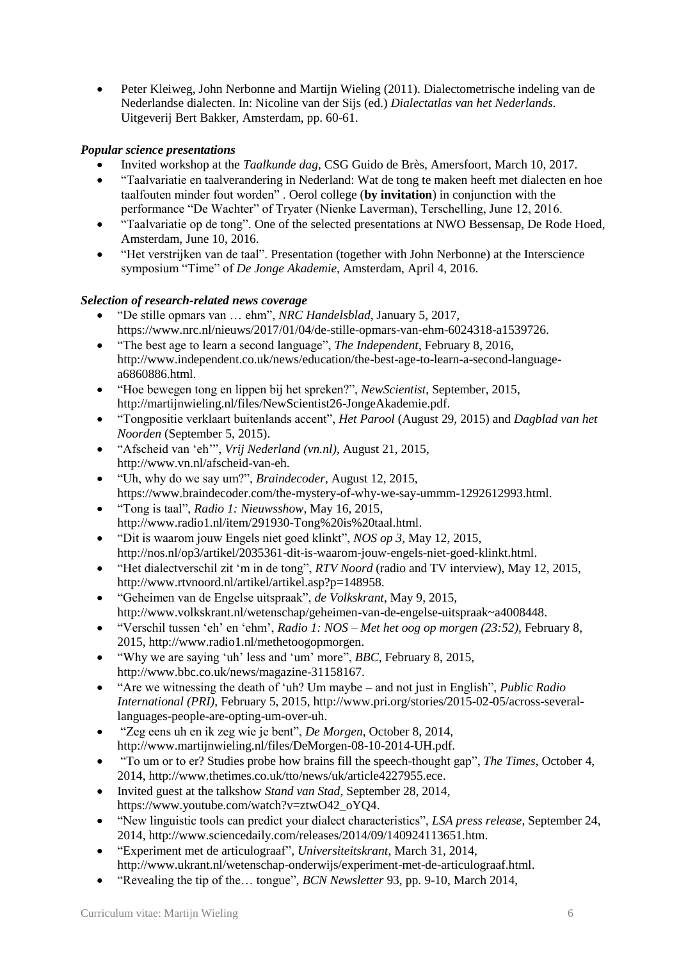Peter Kleiweg, John Nerbonne and Martijn Wieling (2011). Dialectometrische indeling van de Nederlandse dialecten. In: Nicoline van der Sijs (ed.) *Dialectatlas van het Nederlands*. Uitgeverij Bert Bakker, Amsterdam, pp. 60-61.

## *Popular science presentations*

- Invited workshop at the *Taalkunde dag*, CSG Guido de Brès, Amersfoort, March 10, 2017.
- "Taalvariatie en taalverandering in Nederland: Wat de tong te maken heeft met dialecten en hoe taalfouten minder fout worden" . Oerol college (**by invitation**) in conjunction with the performance "De Wachter" of Tryater (Nienke Laverman), Terschelling, June 12, 2016.
- "Taalvariatie op de tong". One of the selected presentations at NWO Bessensap, De Rode Hoed, Amsterdam, June 10, 2016.
- "Het verstrijken van de taal". Presentation (together with John Nerbonne) at the Interscience symposium "Time" of *De Jonge Akademie*, Amsterdam, April 4, 2016.

# *Selection of research-related news coverage*

- "De stille opmars van … ehm", *NRC Handelsblad*, January 5, 2017, https://www.nrc.nl/nieuws/2017/01/04/de-stille-opmars-van-ehm-6024318-a1539726.
- "The best age to learn a second language", *The Independent*, February 8, 2016, http://www.independent.co.uk/news/education/the-best-age-to-learn-a-second-languagea6860886.html.
- "Hoe bewegen tong en lippen bij het spreken?", *NewScientist*, September, 2015, http://martijnwieling.nl/files/NewScientist26-JongeAkademie.pdf.
- "Tongpositie verklaart buitenlands accent", *Het Parool* (August 29, 2015) and *Dagblad van het Noorden* (September 5, 2015).
- "Afscheid van 'eh'", *Vrij Nederland (vn.nl)*, August 21, 2015, http://www.vn.nl/afscheid-van-eh.
- "Uh, why do we say um?", *Braindecoder*, August 12, 2015, https://www.braindecoder.com/the-mystery-of-why-we-say-ummm-1292612993.html.
- "Tong is taal", *Radio 1: Nieuwsshow*, May 16, 2015, http://www.radio1.nl/item/291930-Tong%20is%20taal.html.
- "Dit is waarom jouw Engels niet goed klinkt", *NOS op 3*, May 12, 2015, http://nos.nl/op3/artikel/2035361-dit-is-waarom-jouw-engels-niet-goed-klinkt.html.
- "Het dialectverschil zit 'm in de tong", *RTV Noord* (radio and TV interview), May 12, 2015, http://www.rtvnoord.nl/artikel/artikel.asp?p=148958.
- "Geheimen van de Engelse uitspraak", *de Volkskrant*, May 9, 2015, http://www.volkskrant.nl/wetenschap/geheimen-van-de-engelse-uitspraak~a4008448.
- "Verschil tussen 'eh' en 'ehm', *Radio 1: NOS – Met het oog op morgen (23:52),* February 8, 2015, http://www.radio1.nl/methetoogopmorgen.
- "Why we are saying 'uh' less and 'um' more", *BBC*, February 8, 2015, http://www.bbc.co.uk/news/magazine-31158167.
- "Are we witnessing the death of 'uh? Um maybe and not just in English", *Public Radio International (PRI)*, February 5, 2015, http://www.pri.org/stories/2015-02-05/across-severallanguages-people-are-opting-um-over-uh.
- "Zeg eens uh en ik zeg wie je bent", *De Morgen*, October 8, 2014, http://www.martijnwieling.nl/files/DeMorgen-08-10-2014-UH.pdf.
- "To um or to er? Studies probe how brains fill the speech-thought gap", *The Times*, October 4, 2014, http://www.thetimes.co.uk/tto/news/uk/article4227955.ece.
- Invited guest at the talkshow *Stand van Stad*, September 28, 2014, https://www.youtube.com/watch?v=ztwO42\_oYQ4.
- "New linguistic tools can predict your dialect characteristics", *LSA press release*, September 24, 2014, http://www.sciencedaily.com/releases/2014/09/140924113651.htm.
- "Experiment met de articulograaf"*, Universiteitskrant*, March 31, 2014, [http://www.ukrant.nl/wetenschap-onderwijs/experiment-met-de-articulograaf.html.](http://www.ukrant.nl/wetenschap-onderwijs/experiment-met-de-articulograaf.html)
- "Revealing the tip of the… tongue"*, BCN Newsletter* 93, pp. 9-10, March 2014,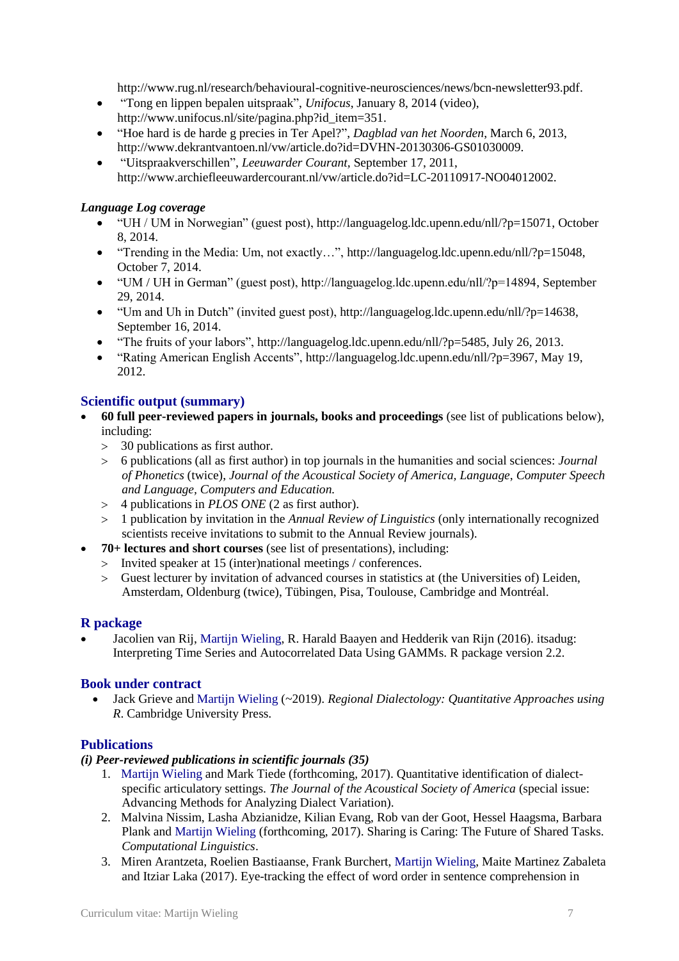[http://www.rug.nl/research/behavioural-cognitive-neurosciences/news/bcn-newsletter93.pdf.](http://www.rug.nl/research/behavioural-cognitive-neurosciences/news/bcn-newsletter93.pdf)

- "Tong en lippen bepalen uitspraak", *Unifocus*, January 8, 2014 (video), [http://www.unifocus.nl/site/pagina.php?id\\_item=351.](http://www.unifocus.nl/site/pagina.php?id_item=351)
- "Hoe hard is de harde g precies in Ter Apel?", *Dagblad van het Noorden*, March 6, 2013, [http://www.dekrantvantoen.nl/vw/article.do?id=DVHN-20130306-GS01030009.](http://www.dekrantvantoen.nl/vw/article.do?id=DVHN-20130306-GS01030009)
- "Uitspraakverschillen", *Leeuwarder Courant,* September 17, 2011, [http://www.archiefleeuwardercourant.nl/vw/article.do?id=LC-20110917-NO04012002.](http://www.archiefleeuwardercourant.nl/vw/article.do?id=LC-20110917-NO04012002)

#### *Language Log coverage*

- "UH / UM in Norwegian" (guest post), http://languagelog.ldc.upenn.edu/nll/?p=15071, October 8, 2014.
- "Trending in the Media: Um, not exactly...", http://languagelog.ldc.upenn.edu/nll/?p=15048, October 7, 2014.
- "UM / UH in German" (guest post), http://languagelog.ldc.upenn.edu/nll/?p=14894, September 29, 2014.
- "Um and Uh in Dutch" (invited guest post), http://languagelog.ldc.upenn.edu/nll/?p=14638, September 16, 2014.
- "The fruits of your labors", http://languagelog.ldc.upenn.edu/nll/?p=5485, July 26, 2013.
- "Rating American English Accents", http://languagelog.ldc.upenn.edu/nll/?p=3967, May 19, 2012.

#### **Scientific output (summary)**

- **60 full peer-reviewed papers in journals, books and proceedings** (see list of publications below), including:
	- 30 publications as first author.
	- 6 publications (all as first author) in top journals in the humanities and social sciences: *Journal of Phonetics* (twice), *Journal of the Acoustical Society of America, Language*, *Computer Speech and Language, Computers and Education.*
	- 4 publications in *PLOS ONE* (2 as first author).
	- 1 publication by invitation in the *Annual Review of Linguistics* (only internationally recognized scientists receive invitations to submit to the Annual Review journals).
- **70+ lectures and short courses** (see list of presentations), including:
	- Invited speaker at 15 (inter)national meetings / conferences.
	- Guest lecturer by invitation of advanced courses in statistics at (the Universities of) Leiden, Amsterdam, Oldenburg (twice), Tübingen, Pisa, Toulouse, Cambridge and Montréal.

#### **R package**

 Jacolien van Rij, Martijn Wieling, R. Harald Baayen and Hedderik van Rijn (2016). itsadug: Interpreting Time Series and Autocorrelated Data Using GAMMs. R package version 2.2.

#### **Book under contract**

 Jack Grieve and Martijn Wieling (~2019). *Regional Dialectology: Quantitative Approaches using R*. Cambridge University Press.

#### **Publications**

#### *(i) Peer-reviewed publications in scientific journals (35)*

- 1. Martijn Wieling and Mark Tiede (forthcoming, 2017). Quantitative identification of dialectspecific articulatory settings. *The Journal of the Acoustical Society of America* (special issue: Advancing Methods for Analyzing Dialect Variation).
- 2. Malvina Nissim, Lasha Abzianidze, Kilian Evang, Rob van der Goot, Hessel Haagsma, Barbara Plank and Martijn Wieling (forthcoming, 2017). Sharing is Caring: The Future of Shared Tasks. *Computational Linguistics*.
- 3. Miren Arantzeta, Roelien Bastiaanse, Frank Burchert, Martijn Wieling, Maite Martinez Zabaleta and Itziar Laka (2017). Eye-tracking the effect of word order in sentence comprehension in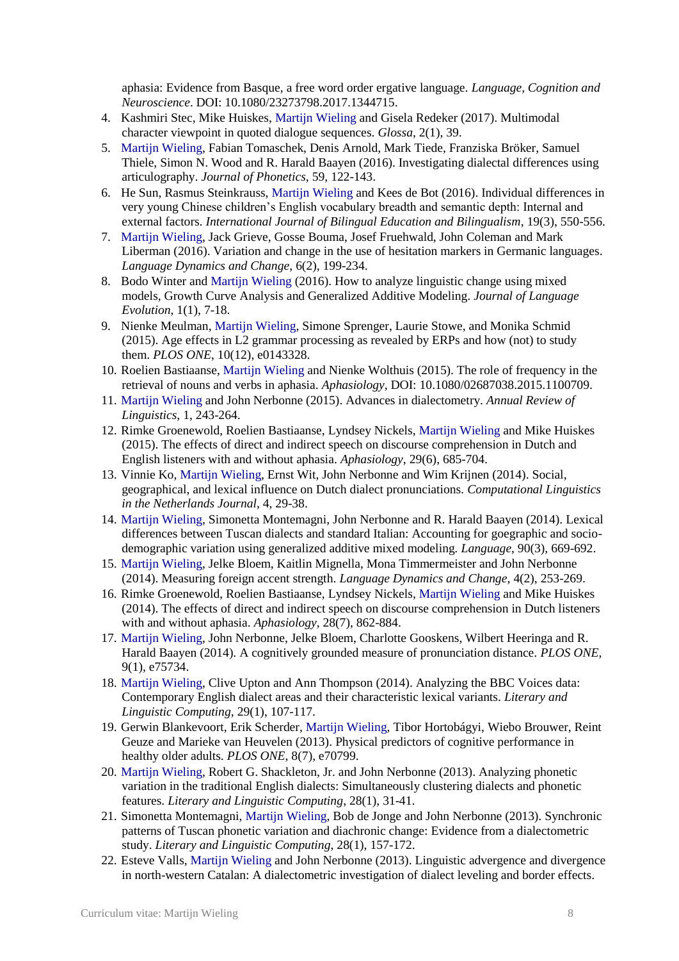aphasia: Evidence from Basque, a free word order ergative language. *Language, Cognition and Neuroscience*. DOI: 10.1080/23273798.2017.1344715.

- 4. Kashmiri Stec, Mike Huiskes, Martijn Wieling and Gisela Redeker (2017). Multimodal character viewpoint in quoted dialogue sequences. *Glossa*, 2(1), 39.
- 5. Martijn Wieling, Fabian Tomaschek, Denis Arnold, Mark Tiede, Franziska Bröker, Samuel Thiele, Simon N. Wood and R. Harald Baayen (2016). Investigating dialectal differences using articulography. *Journal of Phonetics*, 59, 122-143.
- 6. He Sun, Rasmus Steinkrauss, Martijn Wieling and Kees de Bot (2016). Individual differences in very young Chinese children's English vocabulary breadth and semantic depth: Internal and external factors. *International Journal of Bilingual Education and Bilingualism*, 19(3), 550-556.
- 7. Martijn Wieling, Jack Grieve, Gosse Bouma, Josef Fruehwald, John Coleman and Mark Liberman (2016). Variation and change in the use of hesitation markers in Germanic languages. *Language Dynamics and Change*, 6(2), 199-234.
- 8. Bodo Winter and Martijn Wieling (2016). How to analyze linguistic change using mixed models, Growth Curve Analysis and Generalized Additive Modeling. *Journal of Language Evolution*, 1(1), 7-18.
- 9. Nienke Meulman, Martijn Wieling, Simone Sprenger, Laurie Stowe, and Monika Schmid (2015). Age effects in L2 grammar processing as revealed by ERPs and how (not) to study them. *PLOS ONE*, 10(12), e0143328.
- 10. Roelien Bastiaanse, Martijn Wieling and Nienke Wolthuis (2015). The role of frequency in the retrieval of nouns and verbs in aphasia. *Aphasiology*, DOI: 10.1080/02687038.2015.1100709.
- 11. Martijn Wieling and John Nerbonne (2015). Advances in dialectometry. *Annual Review of Linguistics*, 1, 243-264.
- 12. Rimke Groenewold, Roelien Bastiaanse, Lyndsey Nickels, Martijn Wieling and Mike Huiskes (2015). The effects of direct and indirect speech on discourse comprehension in Dutch and English listeners with and without aphasia. *Aphasiology*, 29(6), 685-704.
- 13. Vinnie Ko, Martijn Wieling, Ernst Wit, John Nerbonne and Wim Krijnen (2014). Social, geographical, and lexical influence on Dutch dialect pronunciations. *Computational Linguistics in the Netherlands Journal*, 4, 29-38.
- 14. Martijn Wieling, Simonetta Montemagni, John Nerbonne and R. Harald Baayen (2014). Lexical differences between Tuscan dialects and standard Italian: Accounting for goegraphic and sociodemographic variation using generalized additive mixed modeling*. Language*, 90(3), 669-692.
- 15. Martijn Wieling, Jelke Bloem, Kaitlin Mignella, Mona Timmermeister and John Nerbonne (2014). Measuring foreign accent strength. *Language Dynamics and Change*, 4(2), 253-269.
- 16. Rimke Groenewold, Roelien Bastiaanse, Lyndsey Nickels, Martijn Wieling and Mike Huiskes (2014). The effects of direct and indirect speech on discourse comprehension in Dutch listeners with and without aphasia. *Aphasiology*, 28(7), 862-884.
- 17. Martijn Wieling, John Nerbonne, Jelke Bloem, Charlotte Gooskens, Wilbert Heeringa and R. Harald Baayen (2014). A cognitively grounded measure of pronunciation distance. *PLOS ONE*, 9(1), e75734.
- 18. Martijn Wieling, Clive Upton and Ann Thompson (2014). Analyzing the BBC Voices data: Contemporary English dialect areas and their characteristic lexical variants. *Literary and Linguistic Computing*, 29(1), 107-117.
- 19. Gerwin Blankevoort, Erik Scherder, Martijn Wieling, Tibor Hortobágyi, Wiebo Brouwer, Reint Geuze and Marieke van Heuvelen (2013). Physical predictors of cognitive performance in healthy older adults. *PLOS ONE*, 8(7), e70799.
- 20. Martijn Wieling, Robert G. Shackleton, Jr. and John Nerbonne (2013). Analyzing phonetic variation in the traditional English dialects: Simultaneously clustering dialects and phonetic features. *Literary and Linguistic Computing*, 28(1), 31-41.
- 21. Simonetta Montemagni, Martijn Wieling, Bob de Jonge and John Nerbonne (2013). Synchronic patterns of Tuscan phonetic variation and diachronic change: Evidence from a dialectometric study. *Literary and Linguistic Computing*, 28(1), 157-172.
- 22. Esteve Valls, Martijn Wieling and John Nerbonne (2013). Linguistic advergence and divergence in north-western Catalan: A dialectometric investigation of dialect leveling and border effects.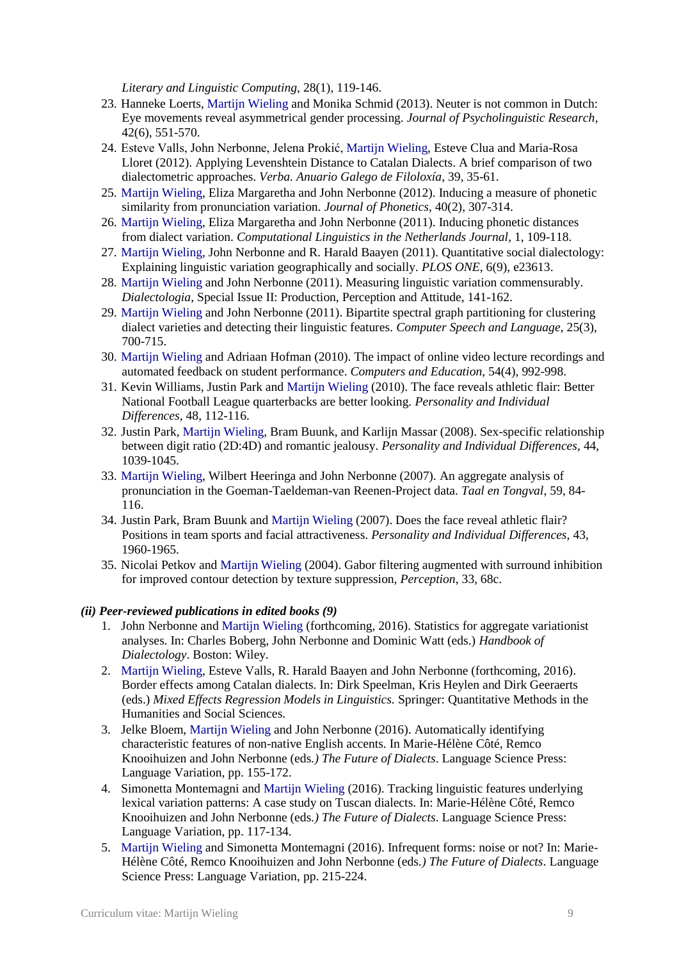*Literary and Linguistic Computing*, 28(1), 119-146.

- 23. Hanneke Loerts, Martijn Wieling and Monika Schmid (2013). Neuter is not common in Dutch: Eye movements reveal asymmetrical gender processing. *Journal of Psycholinguistic Research*, 42(6), 551-570.
- 24. Esteve Valls, John Nerbonne, Jelena Prokić, Martijn Wieling, Esteve Clua and Maria-Rosa Lloret (2012). Applying Levenshtein Distance to Catalan Dialects. A brief comparison of two dialectometric approaches. *Verba. Anuario Galego de Filoloxía*, 39, 35-61.
- 25. Martijn Wieling, Eliza Margaretha and John Nerbonne (2012). Inducing a measure of phonetic similarity from pronunciation variation. *Journal of Phonetics*, 40(2), 307-314.
- 26. Martijn Wieling, Eliza Margaretha and John Nerbonne (2011). Inducing phonetic distances from dialect variation. *Computational Linguistics in the Netherlands Journal*, 1, 109-118.
- 27. Martijn Wieling, John Nerbonne and R. Harald Baayen (2011). Quantitative social dialectology: Explaining linguistic variation geographically and socially. *PLOS ONE*, 6(9), e23613.
- 28. Martijn Wieling and John Nerbonne (2011). Measuring linguistic variation commensurably. *Dialectologia*, Special Issue II: Production, Perception and Attitude, 141-162.
- 29. Martijn Wieling and John Nerbonne (2011). Bipartite spectral graph partitioning for clustering dialect varieties and detecting their linguistic features. *Computer Speech and Language*, 25(3), 700-715.
- 30. Martijn Wieling and Adriaan Hofman (2010). The impact of online video lecture recordings and automated feedback on student performance. *Computers and Education*, 54(4), 992-998.
- 31. Kevin Williams, Justin Park and Martijn Wieling (2010). The face reveals athletic flair: Better National Football League quarterbacks are better looking. *Personality and Individual Differences*, 48, 112-116.
- 32. Justin Park, Martijn Wieling, Bram Buunk, and Karlijn Massar (2008). Sex-specific relationship between digit ratio (2D:4D) and romantic jealousy. *Personality and Individual Differences*, 44, 1039-1045.
- 33. Martijn Wieling, Wilbert Heeringa and John Nerbonne (2007). An aggregate analysis of pronunciation in the Goeman-Taeldeman-van Reenen-Project data. *Taal en Tongval*, 59, 84- 116.
- 34. Justin Park, Bram Buunk and Martijn Wieling (2007). Does the face reveal athletic flair? Positions in team sports and facial attractiveness. *Personality and Individual Differences*, 43, 1960-1965.
- 35. Nicolai Petkov and Martijn Wieling (2004). Gabor filtering augmented with surround inhibition for improved contour detection by texture suppression, *Perception*, 33, 68c.

#### *(ii) Peer-reviewed publications in edited books (9)*

- 1. John Nerbonne and Martijn Wieling (forthcoming, 2016). Statistics for aggregate variationist analyses. In: Charles Boberg, John Nerbonne and Dominic Watt (eds.) *Handbook of Dialectology*. Boston: Wiley.
- 2. Martijn Wieling, Esteve Valls, R. Harald Baayen and John Nerbonne (forthcoming, 2016). Border effects among Catalan dialects. In: Dirk Speelman, Kris Heylen and Dirk Geeraerts (eds.) *Mixed Effects Regression Models in Linguistics.* Springer: Quantitative Methods in the Humanities and Social Sciences.
- 3. Jelke Bloem, Martijn Wieling and John Nerbonne (2016). Automatically identifying characteristic features of non-native English accents. In Marie-Hélène Côté, Remco Knooihuizen and John Nerbonne (eds*.) The Future of Dialects*. Language Science Press: Language Variation, pp. 155-172.
- 4. Simonetta Montemagni and Martijn Wieling (2016). Tracking linguistic features underlying lexical variation patterns: A case study on Tuscan dialects. In: Marie-Hélène Côté, Remco Knooihuizen and John Nerbonne (eds*.) The Future of Dialects*. Language Science Press: Language Variation, pp. 117-134.
- 5. Martijn Wieling and Simonetta Montemagni (2016). Infrequent forms: noise or not? In: Marie-Hélène Côté, Remco Knooihuizen and John Nerbonne (eds*.) The Future of Dialects*. Language Science Press: Language Variation, pp. 215-224.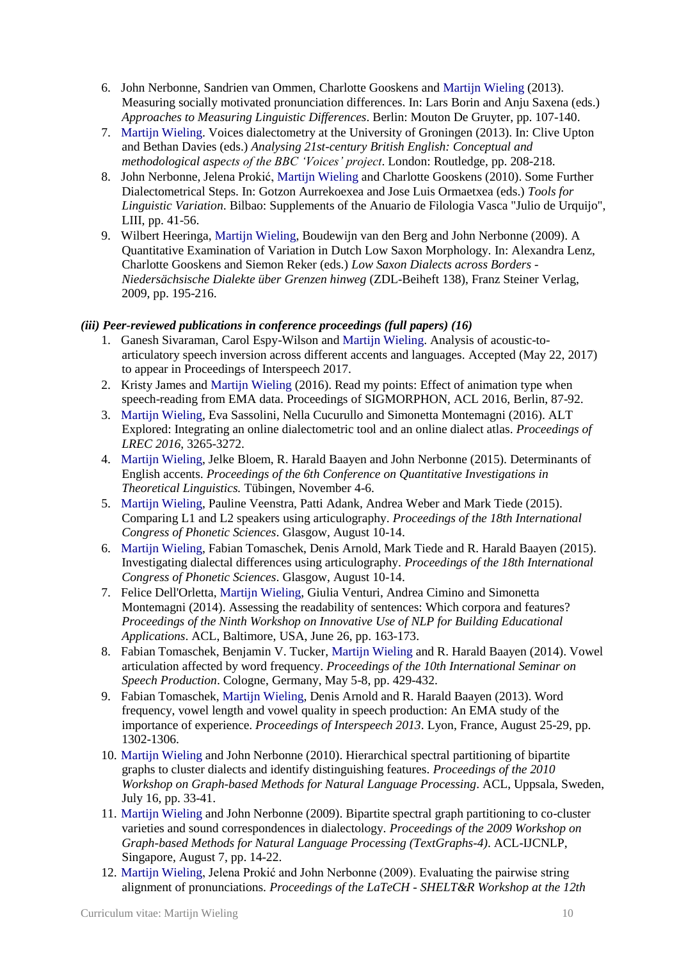- 6. John Nerbonne, Sandrien van Ommen, Charlotte Gooskens and Martijn Wieling (2013). Measuring socially motivated pronunciation differences. In: Lars Borin and Anju Saxena (eds.) *Approaches to Measuring Linguistic Differences*. Berlin: Mouton De Gruyter, pp. 107-140.
- 7. Martijn Wieling. Voices dialectometry at the University of Groningen (2013). In: Clive Upton and Bethan Davies (eds.) *Analysing 21st-century British English: Conceptual and methodological aspects of the BBC 'Voices' project*. London: Routledge, pp. 208-218.
- 8. John Nerbonne, Jelena Prokić, Martijn Wieling and Charlotte Gooskens (2010). Some Further Dialectometrical Steps. In: Gotzon Aurrekoexea and Jose Luis Ormaetxea (eds.) *Tools for Linguistic Variation*. Bilbao: Supplements of the Anuario de Filologia Vasca "Julio de Urquijo", LIII, pp. 41-56.
- 9. Wilbert Heeringa, Martijn Wieling, Boudewijn van den Berg and John Nerbonne (2009). A Quantitative Examination of Variation in Dutch Low Saxon Morphology. In: Alexandra Lenz, Charlotte Gooskens and Siemon Reker (eds.) *Low Saxon Dialects across Borders - Niedersächsische Dialekte über Grenzen hinweg* (ZDL-Beiheft 138), Franz Steiner Verlag, 2009, pp. 195-216.

#### *(iii) Peer-reviewed publications in conference proceedings (full papers) (16)*

- 1. Ganesh Sivaraman, Carol Espy-Wilson and Martijn Wieling. Analysis of acoustic-toarticulatory speech inversion across different accents and languages. Accepted (May 22, 2017) to appear in Proceedings of Interspeech 2017.
- 2. Kristy James and Martijn Wieling (2016). Read my points: Effect of animation type when speech-reading from EMA data. Proceedings of SIGMORPHON, ACL 2016, Berlin, 87-92.
- 3. Martijn Wieling, Eva Sassolini, Nella Cucurullo and Simonetta Montemagni (2016). ALT Explored: Integrating an online dialectometric tool and an online dialect atlas. *Proceedings of LREC 2016*, 3265-3272.
- 4. Martijn Wieling, Jelke Bloem, R. Harald Baayen and John Nerbonne (2015). Determinants of English accents. *Proceedings of the 6th Conference on Quantitative Investigations in Theoretical Linguistics.* Tübingen, November 4-6.
- 5. Martijn Wieling, Pauline Veenstra, Patti Adank, Andrea Weber and Mark Tiede (2015). Comparing L1 and L2 speakers using articulography. *Proceedings of the 18th International Congress of Phonetic Sciences*. Glasgow, August 10-14.
- 6. Martijn Wieling, Fabian Tomaschek, Denis Arnold, Mark Tiede and R. Harald Baayen (2015). Investigating dialectal differences using articulography. *Proceedings of the 18th International Congress of Phonetic Sciences*. Glasgow, August 10-14.
- 7. Felice Dell'Orletta, Martijn Wieling, Giulia Venturi, Andrea Cimino and Simonetta Montemagni (2014). Assessing the readability of sentences: Which corpora and features? *Proceedings of the Ninth Workshop on Innovative Use of NLP for Building Educational Applications*. ACL, Baltimore, USA, June 26, pp. 163-173.
- 8. Fabian Tomaschek, Benjamin V. Tucker, Martijn Wieling and R. Harald Baayen (2014). Vowel articulation affected by word frequency. *Proceedings of the 10th International Seminar on Speech Production*. Cologne, Germany, May 5-8, pp. 429-432.
- 9. Fabian Tomaschek, Martijn Wieling, Denis Arnold and R. Harald Baayen (2013). Word frequency, vowel length and vowel quality in speech production: An EMA study of the importance of experience. *Proceedings of Interspeech 2013*. Lyon, France, August 25-29, pp. 1302-1306.
- 10. Martijn Wieling and John Nerbonne (2010). Hierarchical spectral partitioning of bipartite graphs to cluster dialects and identify distinguishing features. *Proceedings of the 2010 Workshop on Graph-based Methods for Natural Language Processing*. ACL, Uppsala, Sweden, July 16, pp. 33-41.
- 11. Martijn Wieling and John Nerbonne (2009). Bipartite spectral graph partitioning to co-cluster varieties and sound correspondences in dialectology. *Proceedings of the 2009 Workshop on Graph-based Methods for Natural Language Processing (TextGraphs-4)*. ACL-IJCNLP, Singapore, August 7, pp. 14-22.
- 12. Martijn Wieling, Jelena Prokić and John Nerbonne (2009). Evaluating the pairwise string alignment of pronunciations. *Proceedings of the LaTeCH - SHELT&R Workshop at the 12th*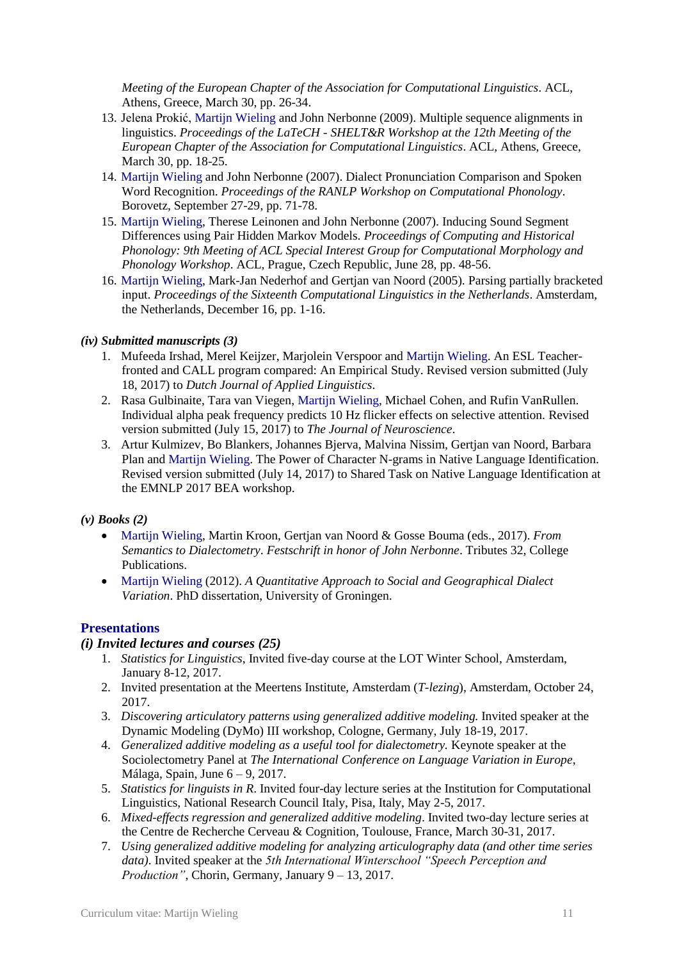*Meeting of the European Chapter of the Association for Computational Linguistics*. ACL, Athens, Greece, March 30, pp. 26-34.

- 13. Jelena Prokić, Martijn Wieling and John Nerbonne (2009). Multiple sequence alignments in linguistics. *Proceedings of the LaTeCH - SHELT&R Workshop at the 12th Meeting of the European Chapter of the Association for Computational Linguistics*. ACL, Athens, Greece, March 30, pp. 18-25.
- 14. Martijn Wieling and John Nerbonne (2007). Dialect Pronunciation Comparison and Spoken Word Recognition. *Proceedings of the RANLP Workshop on Computational Phonology*. Borovetz, September 27-29, pp. 71-78.
- 15. Martijn Wieling, Therese Leinonen and John Nerbonne (2007). Inducing Sound Segment Differences using Pair Hidden Markov Models. *Proceedings of Computing and Historical Phonology: 9th Meeting of ACL Special Interest Group for Computational Morphology and Phonology Workshop*. ACL, Prague, Czech Republic, June 28, pp. 48-56.
- 16. Martijn Wieling, Mark-Jan Nederhof and Gertjan van Noord (2005). Parsing partially bracketed input. *Proceedings of the Sixteenth Computational Linguistics in the Netherlands*. Amsterdam, the Netherlands, December 16, pp. 1-16.

#### *(iv) Submitted manuscripts (3)*

- 1. Mufeeda Irshad, Merel Keijzer, Marjolein Verspoor and Martijn Wieling. An ESL Teacherfronted and CALL program compared: An Empirical Study. Revised version submitted (July 18, 2017) to *Dutch Journal of Applied Linguistics*.
- 2. Rasa Gulbinaite, Tara van Viegen, Martijn Wieling, Michael Cohen, and Rufin VanRullen. Individual alpha peak frequency predicts 10 Hz flicker effects on selective attention. Revised version submitted (July 15, 2017) to *The Journal of Neuroscience*.
- 3. Artur Kulmizev, Bo Blankers, Johannes Bjerva, Malvina Nissim, Gertjan van Noord, Barbara Plan and Martijn Wieling. The Power of Character N-grams in Native Language Identification. Revised version submitted (July 14, 2017) to Shared Task on Native Language Identification at the EMNLP 2017 BEA workshop.

#### *(v) Books (2)*

- Martijn Wieling, Martin Kroon, Gertjan van Noord & Gosse Bouma (eds., 2017). *From Semantics to Dialectometry*. *Festschrift in honor of John Nerbonne*. Tributes 32, College Publications.
- Martijn Wieling (2012). *A Quantitative Approach to Social and Geographical Dialect Variation*. PhD dissertation, University of Groningen.

#### **Presentations**

#### *(i) Invited lectures and courses (25)*

- 1. *Statistics for Linguistics*, Invited five-day course at the LOT Winter School, Amsterdam, January 8-12, 2017.
- 2. Invited presentation at the Meertens Institute, Amsterdam (*T-lezing*), Amsterdam, October 24, 2017.
- 3. *Discovering articulatory patterns using generalized additive modeling.* Invited speaker at the Dynamic Modeling (DyMo) III workshop, Cologne, Germany, July 18-19, 2017.
- 4. *Generalized additive modeling as a useful tool for dialectometry.* Keynote speaker at the Sociolectometry Panel at *The International Conference on Language Variation in Europe*, Málaga, Spain, June 6 – 9, 2017.
- 5. *Statistics for linguists in R*. Invited four-day lecture series at the Institution for Computational Linguistics, National Research Council Italy, Pisa, Italy, May 2-5, 2017.
- 6. *Mixed-effects regression and generalized additive modeling*. Invited two-day lecture series at the Centre de Recherche Cerveau & Cognition, Toulouse, France, March 30-31, 2017.
- 7. *Using generalized additive modeling for analyzing articulography data (and other time series data)*. Invited speaker at the *5th International Winterschool "Speech Perception and Production"*, Chorin, Germany, January 9 – 13, 2017.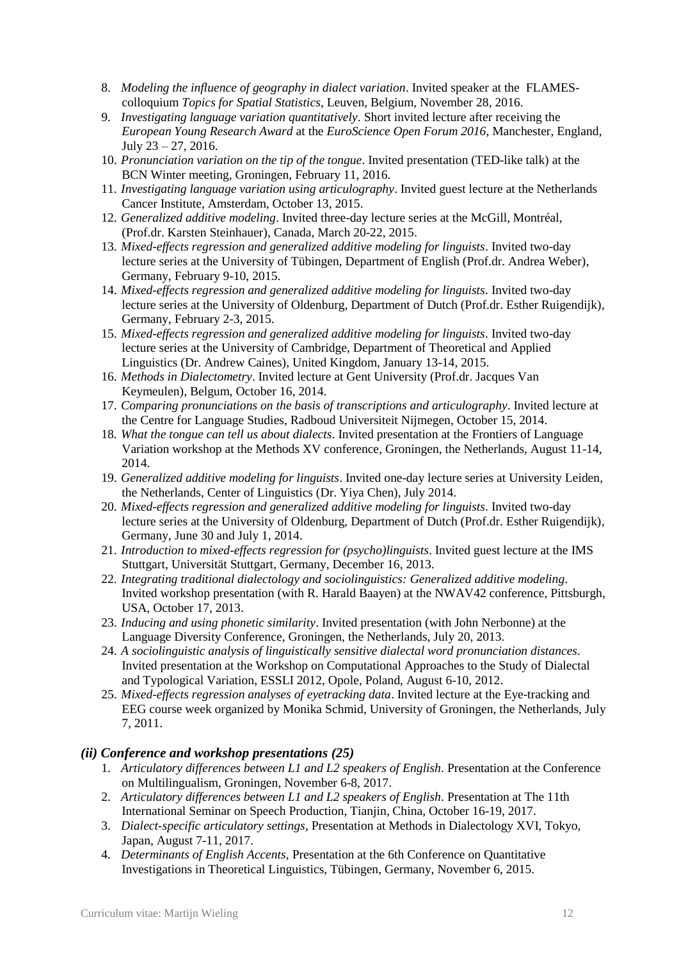- 8. *Modeling the influence of geography in dialect variation*. Invited speaker at the FLAMEScolloquium *Topics for Spatial Statistics*, Leuven, Belgium, November 28, 2016.
- 9. *Investigating language variation quantitatively*. Short invited lecture after receiving the *European Young Research Award* at the *EuroScience Open Forum 2016*, Manchester, England, July  $23 - 27$ , 2016.
- 10. *Pronunciation variation on the tip of the tongue*. Invited presentation (TED-like talk) at the BCN Winter meeting, Groningen, February 11, 2016.
- 11. *Investigating language variation using articulography*. Invited guest lecture at the Netherlands Cancer Institute, Amsterdam, October 13, 2015.
- 12. *Generalized additive modeling*. Invited three-day lecture series at the McGill, Montréal, (Prof.dr. Karsten Steinhauer), Canada, March 20-22, 2015.
- 13. *Mixed-effects regression and generalized additive modeling for linguists*. Invited two-day lecture series at the University of Tübingen, Department of English (Prof.dr. Andrea Weber), Germany, February 9-10, 2015.
- 14. *Mixed-effects regression and generalized additive modeling for linguists*. Invited two-day lecture series at the University of Oldenburg, Department of Dutch (Prof.dr. Esther Ruigendijk), Germany, February 2-3, 2015.
- 15. *Mixed-effects regression and generalized additive modeling for linguists*. Invited two-day lecture series at the University of Cambridge, Department of Theoretical and Applied Linguistics (Dr. Andrew Caines), United Kingdom, January 13-14, 2015.
- 16. *Methods in Dialectometry*. Invited lecture at Gent University (Prof.dr. Jacques Van Keymeulen), Belgum, October 16, 2014.
- 17. *Comparing pronunciations on the basis of transcriptions and articulography*. Invited lecture at the Centre for Language Studies, Radboud Universiteit Nijmegen, October 15, 2014.
- 18. *What the tongue can tell us about dialects*. Invited presentation at the Frontiers of Language Variation workshop at the Methods XV conference, Groningen, the Netherlands, August 11-14, 2014.
- 19. *Generalized additive modeling for linguists*. Invited one-day lecture series at University Leiden, the Netherlands, Center of Linguistics (Dr. Yiya Chen), July 2014.
- 20. *Mixed-effects regression and generalized additive modeling for linguists*. Invited two-day lecture series at the University of Oldenburg, Department of Dutch (Prof.dr. Esther Ruigendijk), Germany, June 30 and July 1, 2014.
- 21. *Introduction to mixed-effects regression for (psycho)linguists*. Invited guest lecture at the IMS Stuttgart, Universität Stuttgart, Germany, December 16, 2013.
- 22. *Integrating traditional dialectology and sociolinguistics: Generalized additive modeling*. Invited workshop presentation (with R. Harald Baayen) at the NWAV42 conference, Pittsburgh, USA, October 17, 2013.
- 23. *Inducing and using phonetic similarity*. Invited presentation (with John Nerbonne) at the Language Diversity Conference, Groningen, the Netherlands, July 20, 2013.
- 24. *A sociolinguistic analysis of linguistically sensitive dialectal word pronunciation distances*. Invited presentation at the Workshop on Computational Approaches to the Study of Dialectal and Typological Variation, ESSLI 2012, Opole, Poland, August 6-10, 2012.
- 25. *Mixed-effects regression analyses of eyetracking data*. Invited lecture at the Eye-tracking and EEG course week organized by Monika Schmid, University of Groningen, the Netherlands, July 7, 2011.

#### *(ii) Conference and workshop presentations (25)*

- 1. *Articulatory differences between L1 and L2 speakers of English*. Presentation at the Conference on Multilingualism, Groningen, November 6-8, 2017.
- 2. *Articulatory differences between L1 and L2 speakers of English*. Presentation at The 11th International Seminar on Speech Production, Tianjin, China, October 16-19, 2017.
- 3. *Dialect-specific articulatory settings*, Presentation at Methods in Dialectology XVI, Tokyo, Japan, August 7-11, 2017.
- 4. *Determinants of English Accents*, Presentation at the 6th Conference on Quantitative Investigations in Theoretical Linguistics, Tübingen, Germany, November 6, 2015.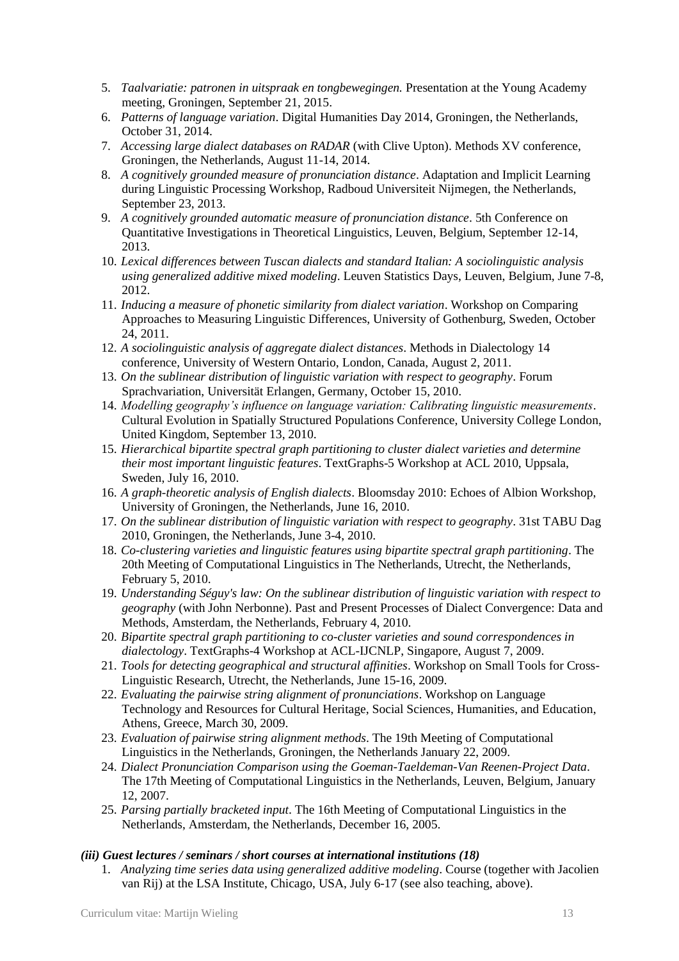- 5. *Taalvariatie: patronen in uitspraak en tongbewegingen.* Presentation at the Young Academy meeting, Groningen, September 21, 2015.
- 6. *Patterns of language variation*. Digital Humanities Day 2014, Groningen, the Netherlands, October 31, 2014.
- 7. *Accessing large dialect databases on RADAR* (with Clive Upton). Methods XV conference, Groningen, the Netherlands, August 11-14, 2014.
- 8. *A cognitively grounded measure of pronunciation distance*. Adaptation and Implicit Learning during Linguistic Processing Workshop, Radboud Universiteit Nijmegen, the Netherlands, September 23, 2013.
- 9. *A cognitively grounded automatic measure of pronunciation distance*. 5th Conference on Quantitative Investigations in Theoretical Linguistics, Leuven, Belgium, September 12-14, 2013.
- 10. *Lexical differences between Tuscan dialects and standard Italian: A sociolinguistic analysis using generalized additive mixed modeling*. Leuven Statistics Days, Leuven, Belgium, June 7-8, 2012.
- 11. *Inducing a measure of phonetic similarity from dialect variation*. Workshop on Comparing Approaches to Measuring Linguistic Differences, University of Gothenburg, Sweden, October 24, 2011.
- 12. *A sociolinguistic analysis of aggregate dialect distances*. Methods in Dialectology 14 conference, University of Western Ontario, London, Canada, August 2, 2011.
- 13. *On the sublinear distribution of linguistic variation with respect to geography*. Forum Sprachvariation, Universität Erlangen, Germany, October 15, 2010.
- 14. *Modelling geography's influence on language variation: Calibrating linguistic measurements*. Cultural Evolution in Spatially Structured Populations Conference, University College London, United Kingdom, September 13, 2010.
- 15. *Hierarchical bipartite spectral graph partitioning to cluster dialect varieties and determine their most important linguistic features*. TextGraphs-5 Workshop at ACL 2010, Uppsala, Sweden, July 16, 2010.
- 16. *A graph-theoretic analysis of English dialects*. Bloomsday 2010: Echoes of Albion Workshop, University of Groningen, the Netherlands, June 16, 2010.
- 17. *On the sublinear distribution of linguistic variation with respect to geography*. 31st TABU Dag 2010, Groningen, the Netherlands, June 3-4, 2010.
- 18. *Co-clustering varieties and linguistic features using bipartite spectral graph partitioning*. The 20th Meeting of Computational Linguistics in The Netherlands, Utrecht, the Netherlands, February 5, 2010.
- 19. *Understanding Séguy's law: On the sublinear distribution of linguistic variation with respect to geography* (with John Nerbonne). Past and Present Processes of Dialect Convergence: Data and Methods, Amsterdam, the Netherlands, February 4, 2010.
- 20. *Bipartite spectral graph partitioning to co-cluster varieties and sound correspondences in dialectology*. TextGraphs-4 Workshop at ACL-IJCNLP, Singapore, August 7, 2009.
- 21. *Tools for detecting geographical and structural affinities*. Workshop on Small Tools for Cross-Linguistic Research, Utrecht, the Netherlands, June 15-16, 2009.
- 22. *Evaluating the pairwise string alignment of pronunciations*. Workshop on Language Technology and Resources for Cultural Heritage, Social Sciences, Humanities, and Education, Athens, Greece, March 30, 2009.
- 23. *Evaluation of pairwise string alignment methods*. The 19th Meeting of Computational Linguistics in the Netherlands, Groningen, the Netherlands January 22, 2009.
- 24. *Dialect Pronunciation Comparison using the Goeman-Taeldeman-Van Reenen-Project Data*. The 17th Meeting of Computational Linguistics in the Netherlands, Leuven, Belgium, January 12, 2007.
- 25. *Parsing partially bracketed input*. The 16th Meeting of Computational Linguistics in the Netherlands, Amsterdam, the Netherlands, December 16, 2005.

#### *(iii) Guest lectures / seminars / short courses at international institutions (18)*

1. *Analyzing time series data using generalized additive modeling*. Course (together with Jacolien van Rij) at the LSA Institute, Chicago, USA, July 6-17 (see also teaching, above).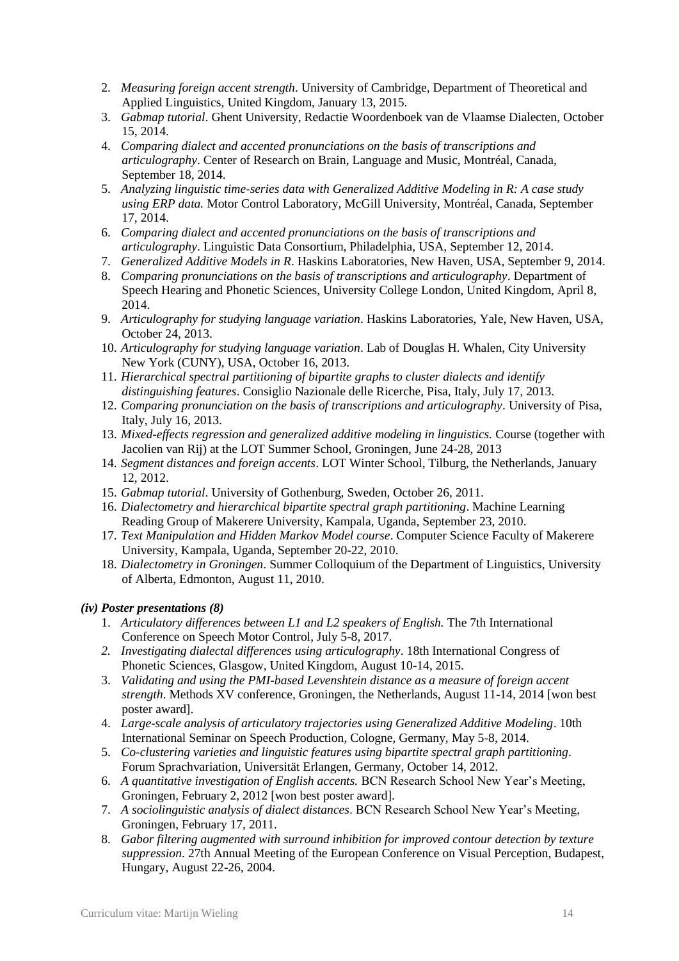- 2. *Measuring foreign accent strength*. University of Cambridge, Department of Theoretical and Applied Linguistics, United Kingdom, January 13, 2015.
- 3. *Gabmap tutorial*. Ghent University, Redactie Woordenboek van de Vlaamse Dialecten, October 15, 2014.
- 4. *Comparing dialect and accented pronunciations on the basis of transcriptions and articulography*. Center of Research on Brain, Language and Music, Montréal, Canada, September 18, 2014.
- 5. *Analyzing linguistic time-series data with Generalized Additive Modeling in R: A case study using ERP data.* Motor Control Laboratory, McGill University, Montréal, Canada, September 17, 2014.
- 6. *Comparing dialect and accented pronunciations on the basis of transcriptions and articulography*. Linguistic Data Consortium, Philadelphia, USA, September 12, 2014.
- 7. *Generalized Additive Models in R*. Haskins Laboratories, New Haven, USA, September 9, 2014.
- 8. *Comparing pronunciations on the basis of transcriptions and articulography*. Department of Speech Hearing and Phonetic Sciences, University College London, United Kingdom, April 8, 2014.
- 9. *Articulography for studying language variation*. Haskins Laboratories, Yale, New Haven, USA, October 24, 2013.
- 10. *Articulography for studying language variation*. Lab of Douglas H. Whalen, City University New York (CUNY), USA, October 16, 2013.
- 11. *Hierarchical spectral partitioning of bipartite graphs to cluster dialects and identify distinguishing features*. Consiglio Nazionale delle Ricerche, Pisa, Italy, July 17, 2013.
- 12. *Comparing pronunciation on the basis of transcriptions and articulography*. University of Pisa, Italy, July 16, 2013.
- 13. *Mixed-effects regression and generalized additive modeling in linguistics.* Course (together with Jacolien van Rij) at the LOT Summer School, Groningen, June 24-28, 2013
- 14. *Segment distances and foreign accents*. LOT Winter School, Tilburg, the Netherlands, January 12, 2012.
- 15. *Gabmap tutorial*. University of Gothenburg, Sweden, October 26, 2011.
- 16. *Dialectometry and hierarchical bipartite spectral graph partitioning*. Machine Learning Reading Group of Makerere University, Kampala, Uganda, September 23, 2010.
- 17. *Text Manipulation and Hidden Markov Model course*. Computer Science Faculty of Makerere University, Kampala, Uganda, September 20-22, 2010.
- 18. *Dialectometry in Groningen*. Summer Colloquium of the Department of Linguistics, University of Alberta, Edmonton, August 11, 2010.

#### *(iv) Poster presentations (8)*

- 1. *Articulatory differences between L1 and L2 speakers of English*. The 7th International Conference on Speech Motor Control, July 5-8, 2017.
- *2. Investigating dialectal differences using articulography*. 18th International Congress of Phonetic Sciences, Glasgow, United Kingdom, August 10-14, 2015.
- 3. *Validating and using the PMI-based Levenshtein distance as a measure of foreign accent strength*. Methods XV conference, Groningen, the Netherlands, August 11-14, 2014 [won best poster award].
- 4. *Large-scale analysis of articulatory trajectories using Generalized Additive Modeling*. 10th International Seminar on Speech Production, Cologne, Germany, May 5-8, 2014.
- 5. *Co-clustering varieties and linguistic features using bipartite spectral graph partitioning*. Forum Sprachvariation, Universität Erlangen, Germany, October 14, 2012.
- 6. *A quantitative investigation of English accents.* BCN Research School New Year's Meeting, Groningen, February 2, 2012 [won best poster award].
- 7. *A sociolinguistic analysis of dialect distances*. BCN Research School New Year's Meeting, Groningen, February 17, 2011.
- 8. *Gabor filtering augmented with surround inhibition for improved contour detection by texture suppression*. 27th Annual Meeting of the European Conference on Visual Perception, Budapest, Hungary, August 22-26, 2004.